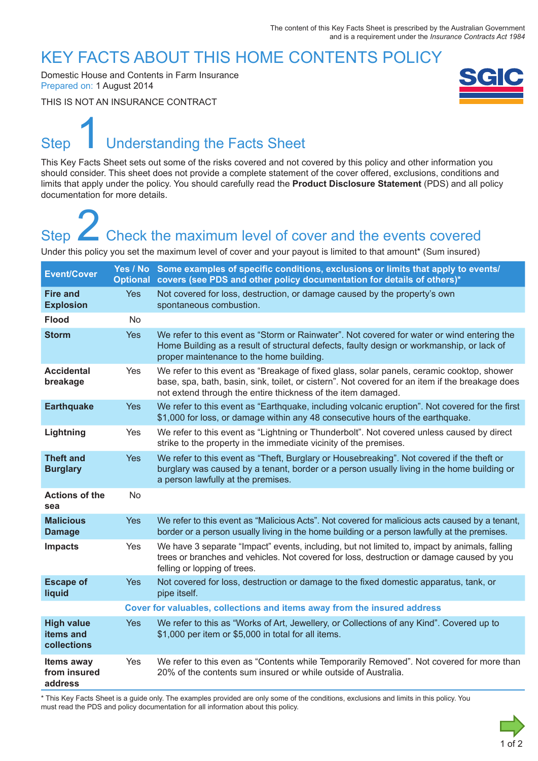### KEY FACTS ABOUT THIS HOME CONTENTS POLICY

Domestic House and Contents in Farm Insurance Prepared on: 1 August 2014

THIS IS NOT AN INSURANCE CONTRACT



# Step Understanding the Facts Sheet 1

This Key Facts Sheet sets out some of the risks covered and not covered by this policy and other information you should consider. This sheet does not provide a complete statement of the cover offered, exclusions, conditions and limits that apply under the policy. You should carefully read the **Product Disclosure Statement** (PDS) and all policy documentation for more details.

# Step **Check the maximum level of cover and the events covered** Step<br>
2 Check the maximum level of cover and the events covered<br>
Under this policy you set the maximum level of cover and your payout is limited to that amount\* (Sum insured)

| <b>Event/Cover</b>                            |                                                                          | Yes / No Some examples of specific conditions, exclusions or limits that apply to events/<br>Optional covers (see PDS and other policy documentation for details of others)*                                                                                 |
|-----------------------------------------------|--------------------------------------------------------------------------|--------------------------------------------------------------------------------------------------------------------------------------------------------------------------------------------------------------------------------------------------------------|
| <b>Fire and</b><br><b>Explosion</b>           | <b>Yes</b>                                                               | Not covered for loss, destruction, or damage caused by the property's own<br>spontaneous combustion.                                                                                                                                                         |
| <b>Flood</b>                                  | <b>No</b>                                                                |                                                                                                                                                                                                                                                              |
| <b>Storm</b>                                  | <b>Yes</b>                                                               | We refer to this event as "Storm or Rainwater". Not covered for water or wind entering the<br>Home Building as a result of structural defects, faulty design or workmanship, or lack of<br>proper maintenance to the home building.                          |
| <b>Accidental</b><br>breakage                 | Yes                                                                      | We refer to this event as "Breakage of fixed glass, solar panels, ceramic cooktop, shower<br>base, spa, bath, basin, sink, toilet, or cistern". Not covered for an item if the breakage does<br>not extend through the entire thickness of the item damaged. |
| <b>Earthquake</b>                             | <b>Yes</b>                                                               | We refer to this event as "Earthquake, including volcanic eruption". Not covered for the first<br>\$1,000 for loss, or damage within any 48 consecutive hours of the earthquake.                                                                             |
| Lightning                                     | Yes                                                                      | We refer to this event as "Lightning or Thunderbolt". Not covered unless caused by direct<br>strike to the property in the immediate vicinity of the premises.                                                                                               |
| <b>Theft and</b><br><b>Burglary</b>           | <b>Yes</b>                                                               | We refer to this event as "Theft, Burglary or Housebreaking". Not covered if the theft or<br>burglary was caused by a tenant, border or a person usually living in the home building or<br>a person lawfully at the premises.                                |
| <b>Actions of the</b><br>sea                  | <b>No</b>                                                                |                                                                                                                                                                                                                                                              |
| <b>Malicious</b><br><b>Damage</b>             | <b>Yes</b>                                                               | We refer to this event as "Malicious Acts". Not covered for malicious acts caused by a tenant,<br>border or a person usually living in the home building or a person lawfully at the premises.                                                               |
| <b>Impacts</b>                                | Yes                                                                      | We have 3 separate "Impact" events, including, but not limited to, impact by animals, falling<br>trees or branches and vehicles. Not covered for loss, destruction or damage caused by you<br>felling or lopping of trees.                                   |
| <b>Escape of</b><br>liquid                    | <b>Yes</b>                                                               | Not covered for loss, destruction or damage to the fixed domestic apparatus, tank, or<br>pipe itself.                                                                                                                                                        |
|                                               | Cover for valuables, collections and items away from the insured address |                                                                                                                                                                                                                                                              |
| <b>High value</b><br>items and<br>collections | <b>Yes</b>                                                               | We refer to this as "Works of Art, Jewellery, or Collections of any Kind". Covered up to<br>\$1,000 per item or \$5,000 in total for all items.                                                                                                              |
| Items away<br>from insured<br>address         | Yes                                                                      | We refer to this even as "Contents while Temporarily Removed". Not covered for more than<br>20% of the contents sum insured or while outside of Australia.                                                                                                   |

\* This Key Facts Sheet is a guide only. The examples provided are only some of the conditions, exclusions and limits in this policy. You must read the PDS and policy documentation for all information about this policy.